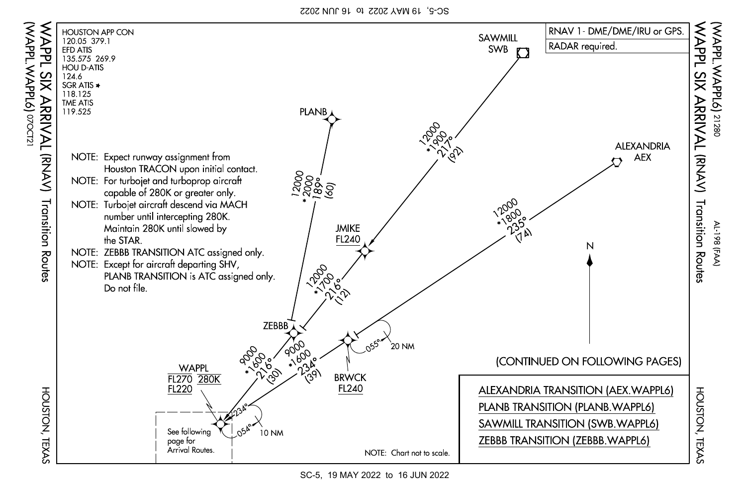SC-5, 19 MAY 2022 to 16 JUN 2022

(WAPPL.WAPPL6)

07OCT21



SC-5, 19 MAY 2022 to 16 JUN 2022

HOUSTON, TEXAS HOUSTON, TEXAS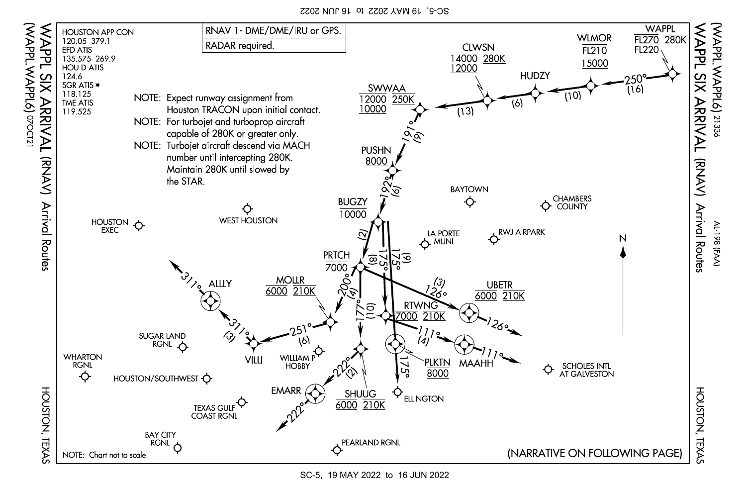SC-5, 19 MAY 2022 to 16 JUN 2022

(WAPPL.WAPPL6)

07OCT21



SC-5, 19 MAY 2022 to 16 JUN 2022